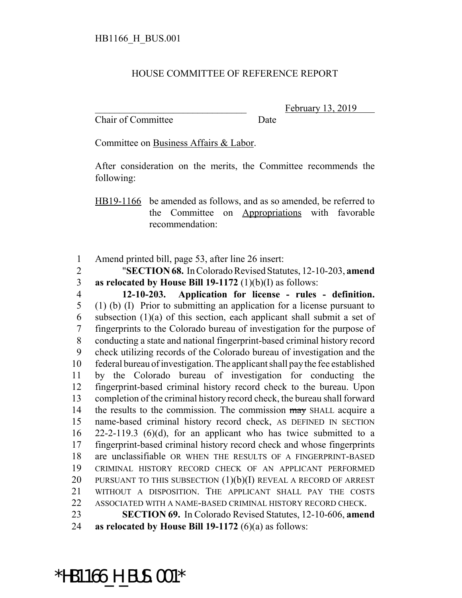## HOUSE COMMITTEE OF REFERENCE REPORT

Chair of Committee Date

February 13, 2019

Committee on Business Affairs & Labor.

After consideration on the merits, the Committee recommends the following:

HB19-1166 be amended as follows, and as so amended, be referred to the Committee on Appropriations with favorable recommendation:

1 Amend printed bill, page 53, after line 26 insert:

2 "**SECTION 68.** In Colorado Revised Statutes, 12-10-203, **amend** 3 **as relocated by House Bill 19-1172** (1)(b)(I) as follows:

 **12-10-203. Application for license - rules - definition.** (1) (b) (I) Prior to submitting an application for a license pursuant to 6 subsection  $(1)(a)$  of this section, each applicant shall submit a set of fingerprints to the Colorado bureau of investigation for the purpose of conducting a state and national fingerprint-based criminal history record check utilizing records of the Colorado bureau of investigation and the federal bureau of investigation. The applicant shall pay the fee established by the Colorado bureau of investigation for conducting the fingerprint-based criminal history record check to the bureau. Upon completion of the criminal history record check, the bureau shall forward 14 the results to the commission. The commission may SHALL acquire a name-based criminal history record check, AS DEFINED IN SECTION 22-2-119.3 (6)(d), for an applicant who has twice submitted to a fingerprint-based criminal history record check and whose fingerprints are unclassifiable OR WHEN THE RESULTS OF A FINGERPRINT-BASED CRIMINAL HISTORY RECORD CHECK OF AN APPLICANT PERFORMED 20 PURSUANT TO THIS SUBSECTION  $(1)(b)(I)$  REVEAL A RECORD OF ARREST WITHOUT A DISPOSITION. THE APPLICANT SHALL PAY THE COSTS ASSOCIATED WITH A NAME-BASED CRIMINAL HISTORY RECORD CHECK. **SECTION 69.** In Colorado Revised Statutes, 12-10-606, **amend**

24 **as relocated by House Bill 19-1172** (6)(a) as follows:

\*HB1166 H BUS.001\*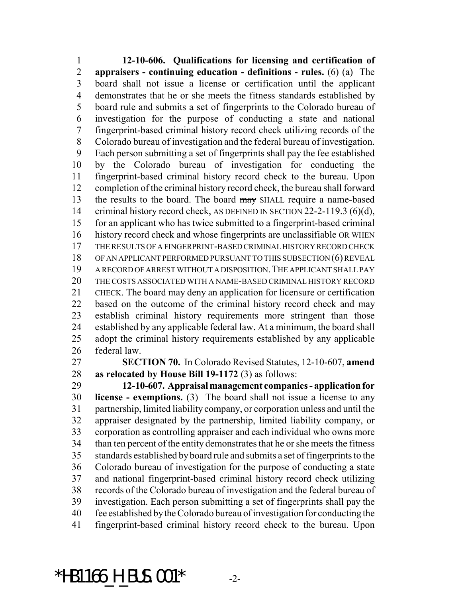**12-10-606. Qualifications for licensing and certification of appraisers - continuing education - definitions - rules.** (6) (a) The board shall not issue a license or certification until the applicant demonstrates that he or she meets the fitness standards established by board rule and submits a set of fingerprints to the Colorado bureau of investigation for the purpose of conducting a state and national fingerprint-based criminal history record check utilizing records of the Colorado bureau of investigation and the federal bureau of investigation. Each person submitting a set of fingerprints shall pay the fee established by the Colorado bureau of investigation for conducting the fingerprint-based criminal history record check to the bureau. Upon completion of the criminal history record check, the bureau shall forward 13 the results to the board. The board may SHALL require a name-based 14 criminal history record check, AS DEFINED IN SECTION 22-2-119.3 (6)(d), for an applicant who has twice submitted to a fingerprint-based criminal history record check and whose fingerprints are unclassifiable OR WHEN THE RESULTS OF A FINGERPRINT-BASED CRIMINAL HISTORY RECORD CHECK OF AN APPLICANT PERFORMED PURSUANT TO THIS SUBSECTION (6) REVEAL A RECORD OF ARREST WITHOUT A DISPOSITION.THE APPLICANT SHALL PAY THE COSTS ASSOCIATED WITH A NAME-BASED CRIMINAL HISTORY RECORD CHECK. The board may deny an application for licensure or certification based on the outcome of the criminal history record check and may establish criminal history requirements more stringent than those established by any applicable federal law. At a minimum, the board shall adopt the criminal history requirements established by any applicable federal law.

 **SECTION 70.** In Colorado Revised Statutes, 12-10-607, **amend as relocated by House Bill 19-1172** (3) as follows:

 **12-10-607. Appraisal management companies - application for license - exemptions.** (3) The board shall not issue a license to any partnership, limited liability company, or corporation unless and until the appraiser designated by the partnership, limited liability company, or corporation as controlling appraiser and each individual who owns more than ten percent of the entity demonstrates that he or she meets the fitness standards established by board rule and submits a set of fingerprints to the Colorado bureau of investigation for the purpose of conducting a state and national fingerprint-based criminal history record check utilizing records of the Colorado bureau of investigation and the federal bureau of investigation. Each person submitting a set of fingerprints shall pay the fee established by the Colorado bureau of investigation for conducting the fingerprint-based criminal history record check to the bureau. Upon

\*HB1166 H BUS.001\*  $-2$ -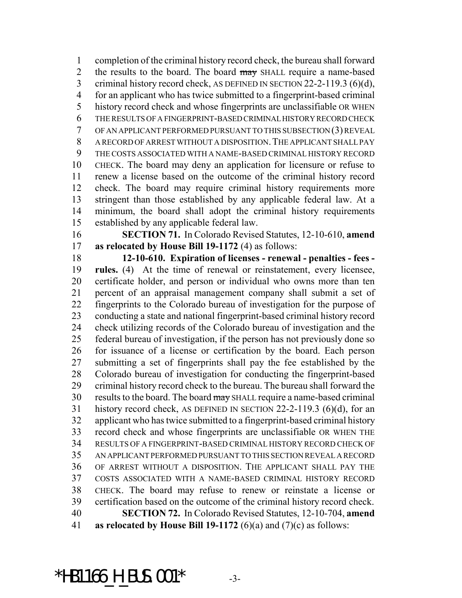completion of the criminal history record check, the bureau shall forward 2 the results to the board. The board may SHALL require a name-based 3 criminal history record check, AS DEFINED IN SECTION 22-2-119.3 (6)(d), for an applicant who has twice submitted to a fingerprint-based criminal history record check and whose fingerprints are unclassifiable OR WHEN THE RESULTS OF A FINGERPRINT-BASED CRIMINAL HISTORY RECORD CHECK OF AN APPLICANT PERFORMED PURSUANT TO THIS SUBSECTION (3) REVEAL A RECORD OF ARREST WITHOUT A DISPOSITION.THE APPLICANT SHALL PAY THE COSTS ASSOCIATED WITH A NAME-BASED CRIMINAL HISTORY RECORD CHECK. The board may deny an application for licensure or refuse to renew a license based on the outcome of the criminal history record check. The board may require criminal history requirements more stringent than those established by any applicable federal law. At a minimum, the board shall adopt the criminal history requirements established by any applicable federal law.

 **SECTION 71.** In Colorado Revised Statutes, 12-10-610, **amend as relocated by House Bill 19-1172** (4) as follows:

 **12-10-610. Expiration of licenses - renewal - penalties - fees - rules.** (4) At the time of renewal or reinstatement, every licensee, certificate holder, and person or individual who owns more than ten percent of an appraisal management company shall submit a set of fingerprints to the Colorado bureau of investigation for the purpose of conducting a state and national fingerprint-based criminal history record check utilizing records of the Colorado bureau of investigation and the federal bureau of investigation, if the person has not previously done so for issuance of a license or certification by the board. Each person submitting a set of fingerprints shall pay the fee established by the Colorado bureau of investigation for conducting the fingerprint-based criminal history record check to the bureau. The bureau shall forward the 30 results to the board. The board may SHALL require a name-based criminal history record check, AS DEFINED IN SECTION 22-2-119.3 (6)(d), for an applicant who has twice submitted to a fingerprint-based criminal history record check and whose fingerprints are unclassifiable OR WHEN THE RESULTS OF A FINGERPRINT-BASED CRIMINAL HISTORY RECORD CHECK OF AN APPLICANT PERFORMED PURSUANT TO THIS SECTION REVEAL A RECORD OF ARREST WITHOUT A DISPOSITION. THE APPLICANT SHALL PAY THE COSTS ASSOCIATED WITH A NAME-BASED CRIMINAL HISTORY RECORD CHECK. The board may refuse to renew or reinstate a license or certification based on the outcome of the criminal history record check. **SECTION 72.** In Colorado Revised Statutes, 12-10-704, **amend as relocated by House Bill 19-1172** (6)(a) and (7)(c) as follows:

\*HB1166 H BUS.001\*  $-3$ -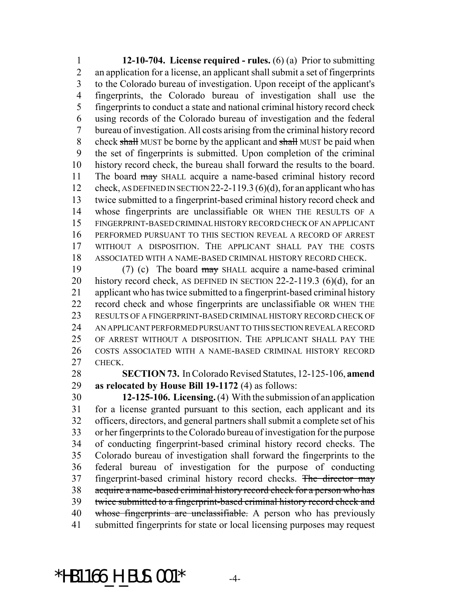**12-10-704. License required - rules.** (6) (a) Prior to submitting an application for a license, an applicant shall submit a set of fingerprints to the Colorado bureau of investigation. Upon receipt of the applicant's fingerprints, the Colorado bureau of investigation shall use the fingerprints to conduct a state and national criminal history record check using records of the Colorado bureau of investigation and the federal bureau of investigation. All costs arising from the criminal history record 8 check shall MUST be borne by the applicant and shall MUST be paid when the set of fingerprints is submitted. Upon completion of the criminal history record check, the bureau shall forward the results to the board. 11 The board may SHALL acquire a name-based criminal history record check, AS DEFINED IN SECTION 22-2-119.3 (6)(d), for an applicant who has twice submitted to a fingerprint-based criminal history record check and whose fingerprints are unclassifiable OR WHEN THE RESULTS OF A FINGERPRINT-BASED CRIMINAL HISTORY RECORD CHECK OF AN APPLICANT PERFORMED PURSUANT TO THIS SECTION REVEAL A RECORD OF ARREST WITHOUT A DISPOSITION. THE APPLICANT SHALL PAY THE COSTS ASSOCIATED WITH A NAME-BASED CRIMINAL HISTORY RECORD CHECK.

 (7) (c) The board may SHALL acquire a name-based criminal history record check, AS DEFINED IN SECTION 22-2-119.3 (6)(d), for an applicant who has twice submitted to a fingerprint-based criminal history record check and whose fingerprints are unclassifiable OR WHEN THE RESULTS OF A FINGERPRINT-BASED CRIMINAL HISTORY RECORD CHECK OF AN APPLICANT PERFORMED PURSUANT TO THIS SECTION REVEAL A RECORD OF ARREST WITHOUT A DISPOSITION. THE APPLICANT SHALL PAY THE COSTS ASSOCIATED WITH A NAME-BASED CRIMINAL HISTORY RECORD CHECK.

 **SECTION 73.** In Colorado Revised Statutes, 12-125-106, **amend as relocated by House Bill 19-1172** (4) as follows:

 **12-125-106. Licensing.** (4) With the submission of an application for a license granted pursuant to this section, each applicant and its officers, directors, and general partners shall submit a complete set of his or her fingerprints to the Colorado bureau of investigation for the purpose of conducting fingerprint-based criminal history record checks. The Colorado bureau of investigation shall forward the fingerprints to the federal bureau of investigation for the purpose of conducting 37 fingerprint-based criminal history record checks. The director may acquire a name-based criminal history record check for a person who has twice submitted to a fingerprint-based criminal history record check and 40 whose fingerprints are unclassifiable. A person who has previously submitted fingerprints for state or local licensing purposes may request

 $*$ HB1166 H BUS.001 $*$  -4-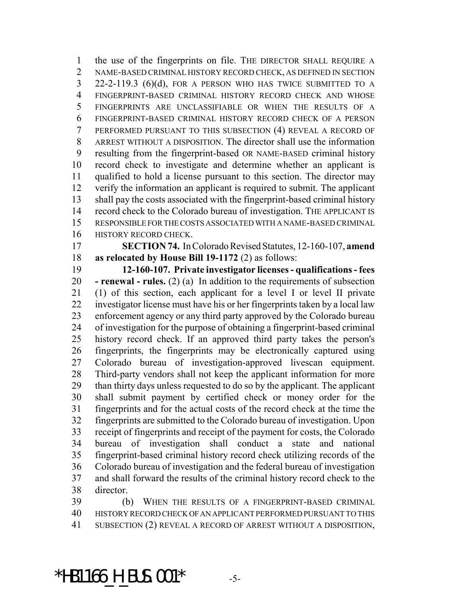the use of the fingerprints on file. THE DIRECTOR SHALL REQUIRE A NAME-BASED CRIMINAL HISTORY RECORD CHECK, AS DEFINED IN SECTION 22-2-119.3 (6)(d), FOR A PERSON WHO HAS TWICE SUBMITTED TO A FINGERPRINT-BASED CRIMINAL HISTORY RECORD CHECK AND WHOSE FINGERPRINTS ARE UNCLASSIFIABLE OR WHEN THE RESULTS OF A FINGERPRINT-BASED CRIMINAL HISTORY RECORD CHECK OF A PERSON PERFORMED PURSUANT TO THIS SUBSECTION (4) REVEAL A RECORD OF ARREST WITHOUT A DISPOSITION. The director shall use the information resulting from the fingerprint-based OR NAME-BASED criminal history record check to investigate and determine whether an applicant is qualified to hold a license pursuant to this section. The director may verify the information an applicant is required to submit. The applicant shall pay the costs associated with the fingerprint-based criminal history record check to the Colorado bureau of investigation. THE APPLICANT IS RESPONSIBLE FOR THE COSTS ASSOCIATED WITH A NAME-BASED CRIMINAL HISTORY RECORD CHECK.

 **SECTION 74.** In Colorado Revised Statutes, 12-160-107, **amend as relocated by House Bill 19-1172** (2) as follows:

 **12-160-107. Private investigator licenses - qualifications - fees - renewal - rules.** (2) (a) In addition to the requirements of subsection (1) of this section, each applicant for a level I or level II private investigator license must have his or her fingerprints taken by a local law enforcement agency or any third party approved by the Colorado bureau of investigation for the purpose of obtaining a fingerprint-based criminal history record check. If an approved third party takes the person's fingerprints, the fingerprints may be electronically captured using Colorado bureau of investigation-approved livescan equipment. Third-party vendors shall not keep the applicant information for more than thirty days unless requested to do so by the applicant. The applicant shall submit payment by certified check or money order for the fingerprints and for the actual costs of the record check at the time the fingerprints are submitted to the Colorado bureau of investigation. Upon receipt of fingerprints and receipt of the payment for costs, the Colorado bureau of investigation shall conduct a state and national fingerprint-based criminal history record check utilizing records of the Colorado bureau of investigation and the federal bureau of investigation and shall forward the results of the criminal history record check to the director.

 (b) WHEN THE RESULTS OF A FINGERPRINT-BASED CRIMINAL HISTORY RECORD CHECK OF AN APPLICANT PERFORMED PURSUANT TO THIS SUBSECTION (2) REVEAL A RECORD OF ARREST WITHOUT A DISPOSITION,

\*HB1166 H BUS.001\*  $-5$ -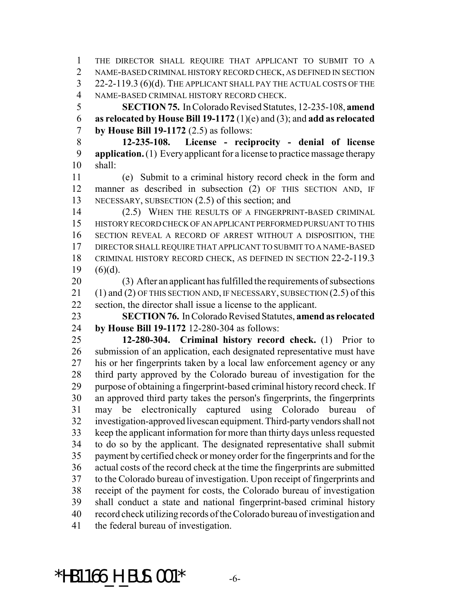THE DIRECTOR SHALL REQUIRE THAT APPLICANT TO SUBMIT TO A NAME-BASED CRIMINAL HISTORY RECORD CHECK, AS DEFINED IN SECTION 22-2-119.3 (6)(d). THE APPLICANT SHALL PAY THE ACTUAL COSTS OF THE NAME-BASED CRIMINAL HISTORY RECORD CHECK.

 **SECTION 75.** In Colorado Revised Statutes, 12-235-108, **amend as relocated by House Bill 19-1172** (1)(e) and (3); and **add as relocated by House Bill 19-1172** (2.5) as follows:

 **12-235-108. License - reciprocity - denial of license application.** (1) Every applicant for a license to practice massage therapy shall:

 (e) Submit to a criminal history record check in the form and manner as described in subsection (2) OF THIS SECTION AND, IF NECESSARY, SUBSECTION (2.5) of this section; and

 (2.5) WHEN THE RESULTS OF A FINGERPRINT-BASED CRIMINAL HISTORY RECORD CHECK OF AN APPLICANT PERFORMED PURSUANT TO THIS SECTION REVEAL A RECORD OF ARREST WITHOUT A DISPOSITION, THE DIRECTOR SHALL REQUIRE THAT APPLICANT TO SUBMIT TO A NAME-BASED CRIMINAL HISTORY RECORD CHECK, AS DEFINED IN SECTION 22-2-119.3 19  $(6)(d)$ .

 (3) After an applicant has fulfilled the requirements of subsections 21 (1) and (2) OF THIS SECTION AND, IF NECESSARY, SUBSECTION (2.5) of this section, the director shall issue a license to the applicant.

 **SECTION 76.** In Colorado Revised Statutes, **amend as relocated by House Bill 19-1172** 12-280-304 as follows:

 **12-280-304. Criminal history record check.** (1) Prior to submission of an application, each designated representative must have his or her fingerprints taken by a local law enforcement agency or any third party approved by the Colorado bureau of investigation for the purpose of obtaining a fingerprint-based criminal history record check. If an approved third party takes the person's fingerprints, the fingerprints may be electronically captured using Colorado bureau of investigation-approved livescan equipment. Third-party vendors shall not keep the applicant information for more than thirty days unless requested to do so by the applicant. The designated representative shall submit payment by certified check or money order for the fingerprints and for the actual costs of the record check at the time the fingerprints are submitted to the Colorado bureau of investigation. Upon receipt of fingerprints and receipt of the payment for costs, the Colorado bureau of investigation shall conduct a state and national fingerprint-based criminal history record check utilizing records of the Colorado bureau of investigation and the federal bureau of investigation.

 $*$ HB1166 H BUS.001 $*$  -6-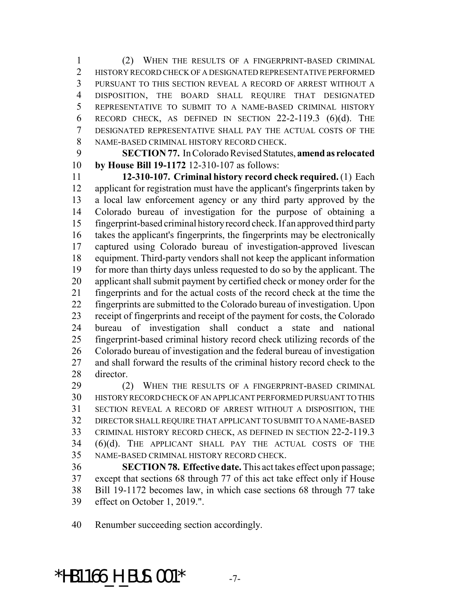(2) WHEN THE RESULTS OF A FINGERPRINT-BASED CRIMINAL 2 HISTORY RECORD CHECK OF A DESIGNATED REPRESENTATIVE PERFORMED PURSUANT TO THIS SECTION REVEAL A RECORD OF ARREST WITHOUT A DISPOSITION, THE BOARD SHALL REQUIRE THAT DESIGNATED REPRESENTATIVE TO SUBMIT TO A NAME-BASED CRIMINAL HISTORY 6 RECORD CHECK, AS DEFINED IN SECTION  $22-2-119.3$  (6)(d). The DESIGNATED REPRESENTATIVE SHALL PAY THE ACTUAL COSTS OF THE NAME-BASED CRIMINAL HISTORY RECORD CHECK.

 **SECTION 77.** In Colorado Revised Statutes, **amend as relocated by House Bill 19-1172** 12-310-107 as follows:

 **12-310-107. Criminal history record check required.** (1) Each applicant for registration must have the applicant's fingerprints taken by a local law enforcement agency or any third party approved by the Colorado bureau of investigation for the purpose of obtaining a fingerprint-based criminal history record check. If an approved third party takes the applicant's fingerprints, the fingerprints may be electronically captured using Colorado bureau of investigation-approved livescan equipment. Third-party vendors shall not keep the applicant information for more than thirty days unless requested to do so by the applicant. The applicant shall submit payment by certified check or money order for the fingerprints and for the actual costs of the record check at the time the fingerprints are submitted to the Colorado bureau of investigation. Upon receipt of fingerprints and receipt of the payment for costs, the Colorado bureau of investigation shall conduct a state and national fingerprint-based criminal history record check utilizing records of the Colorado bureau of investigation and the federal bureau of investigation and shall forward the results of the criminal history record check to the director.

 (2) WHEN THE RESULTS OF A FINGERPRINT-BASED CRIMINAL HISTORY RECORD CHECK OF AN APPLICANT PERFORMED PURSUANT TO THIS SECTION REVEAL A RECORD OF ARREST WITHOUT A DISPOSITION, THE DIRECTOR SHALL REQUIRE THAT APPLICANT TO SUBMIT TO A NAME-BASED CRIMINAL HISTORY RECORD CHECK, AS DEFINED IN SECTION 22-2-119.3 (6)(d). THE APPLICANT SHALL PAY THE ACTUAL COSTS OF THE NAME-BASED CRIMINAL HISTORY RECORD CHECK.

 **SECTION 78. Effective date.** This act takes effect upon passage; except that sections 68 through 77 of this act take effect only if House Bill 19-1172 becomes law, in which case sections 68 through 77 take effect on October 1, 2019.".

Renumber succeeding section accordingly.

\*HB1166 H BUS.001\*  $-7-$